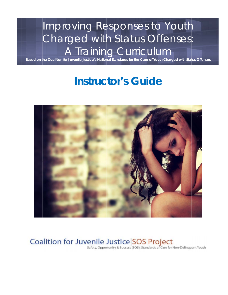# Improving Responses to Youth Charged with Status Offenses: A Training Curriculum

Based on the Coalition for Juvenile Justice's National Standards for the Care of Youth Charged with Status Offenses

## **Instructor's Guide**



# Coalition for Juvenile Justice SOS Project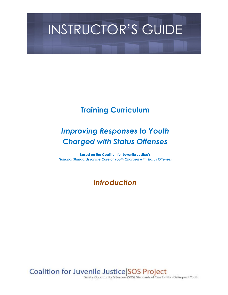# INSTRUCTOR'S GUIDE

## **Training Curriculum**

## *Improving Responses to Youth Charged with Status Offenses*

**Based on the Coalition for Juvenile Justice's** *National Standards for the Care of Youth Charged with Status Offenses*

### *Introduction*

Coalition for Juvenile Justice SOS Project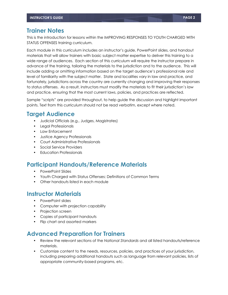#### **Trainer Notes**

This is the introduction for lessons within the IMPROVING RESPONSES TO YOUTH CHARGED WITH STATUS OFFENSES training curriculum.

Each module in this curriculum includes an instructor's guide, PowerPoint slides, and handout materials that will allow trainers with basic subject matter expertise to deliver this training to a wide range of audiences. Each section of this curriculum will require the instructor prepare in advance of the training, tailoring the materials to the jurisdiction and to the audience. This will include adding or omitting information based on the target audience's professional role and level of familiarity with the subject matter. State and localities vary in law and practice, and fortunately, jurisdictions across the country are currently changing and improving their responses to status offenses. As a result, instructors must modify the materials to fit their jurisdiction's law and practice, ensuring that the most current laws, policies, and practices are reflected.

Sample "scripts" are provided throughout, to help guide the discussion and highlight important points. Text from this curriculum should not be read verbatim, except where noted.

#### **Target Audience**

- **•** Judicial Officials (e.g., Judges, Magistrates)
- **•** Legal Professionals
- **•** Law Enforcement
- **•** Justice Agency Professionals
- **•** Court Administrative Professionals
- **•** Social Service Providers
- **•** Education Professionals

#### **Participant Handouts/Reference Materials**

- **•** PowerPoint Slides
- **•** Youth Charged with Status Offenses: Definitions of Common Terms
- **•** Other handouts listed in each module

#### **Instructor Materials**

- **•** PowerPoint slides
- **•** Computer with projection capability
- **•** Projection screen
- **•** Copies of participant handouts
- **•** Flip chart and assorted markers

#### **Advanced Preparation for Trainers**

- **•** Review the relevant sections of the *National Standards* and all listed handouts/reference materials.
- **•** Customize content to the needs, resources, policies, and practices of your jurisdiction, including preparing additional handouts such as language from relevant policies, lists of appropriate community-based programs, etc.